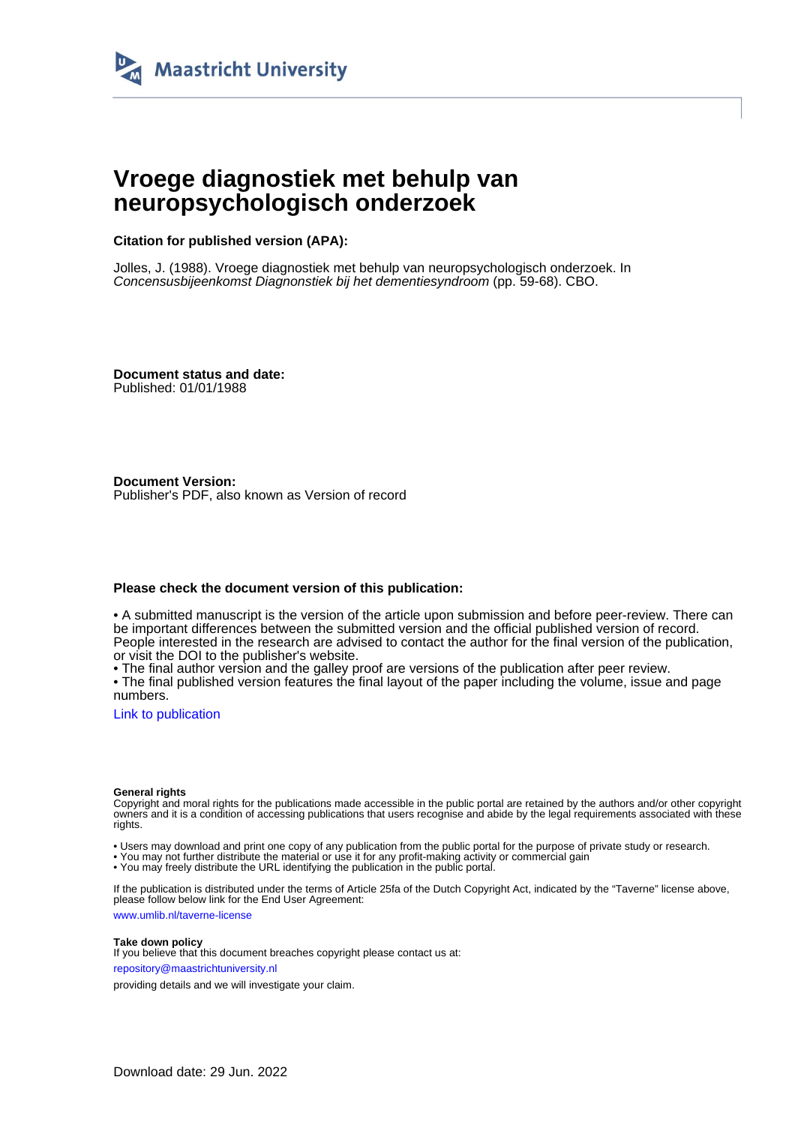

# **Vroege diagnostiek met behulp van neuropsychologisch onderzoek**

**Citation for published version (APA):**

Jolles, J. (1988). Vroege diagnostiek met behulp van neuropsychologisch onderzoek. In Concensusbijeenkomst Diagnonstiek bij het dementiesyndroom (pp. 59-68). CBO.

**Document status and date:** Published: 01/01/1988

**Document Version:** Publisher's PDF, also known as Version of record

## **Please check the document version of this publication:**

• A submitted manuscript is the version of the article upon submission and before peer-review. There can be important differences between the submitted version and the official published version of record. People interested in the research are advised to contact the author for the final version of the publication, or visit the DOI to the publisher's website.

• The final author version and the galley proof are versions of the publication after peer review.

• The final published version features the final layout of the paper including the volume, issue and page numbers.

[Link to publication](https://cris.maastrichtuniversity.nl/en/publications/c2a2754c-6ef3-40cb-88c7-352c9566b45f)

#### **General rights**

Copyright and moral rights for the publications made accessible in the public portal are retained by the authors and/or other copyright owners and it is a condition of accessing publications that users recognise and abide by the legal requirements associated with these rights.

• Users may download and print one copy of any publication from the public portal for the purpose of private study or research.

• You may not further distribute the material or use it for any profit-making activity or commercial gain

• You may freely distribute the URL identifying the publication in the public portal.

If the publication is distributed under the terms of Article 25fa of the Dutch Copyright Act, indicated by the "Taverne" license above, please follow below link for the End User Agreement:

www.umlib.nl/taverne-license

#### **Take down policy**

If you believe that this document breaches copyright please contact us at: repository@maastrichtuniversity.nl

providing details and we will investigate your claim.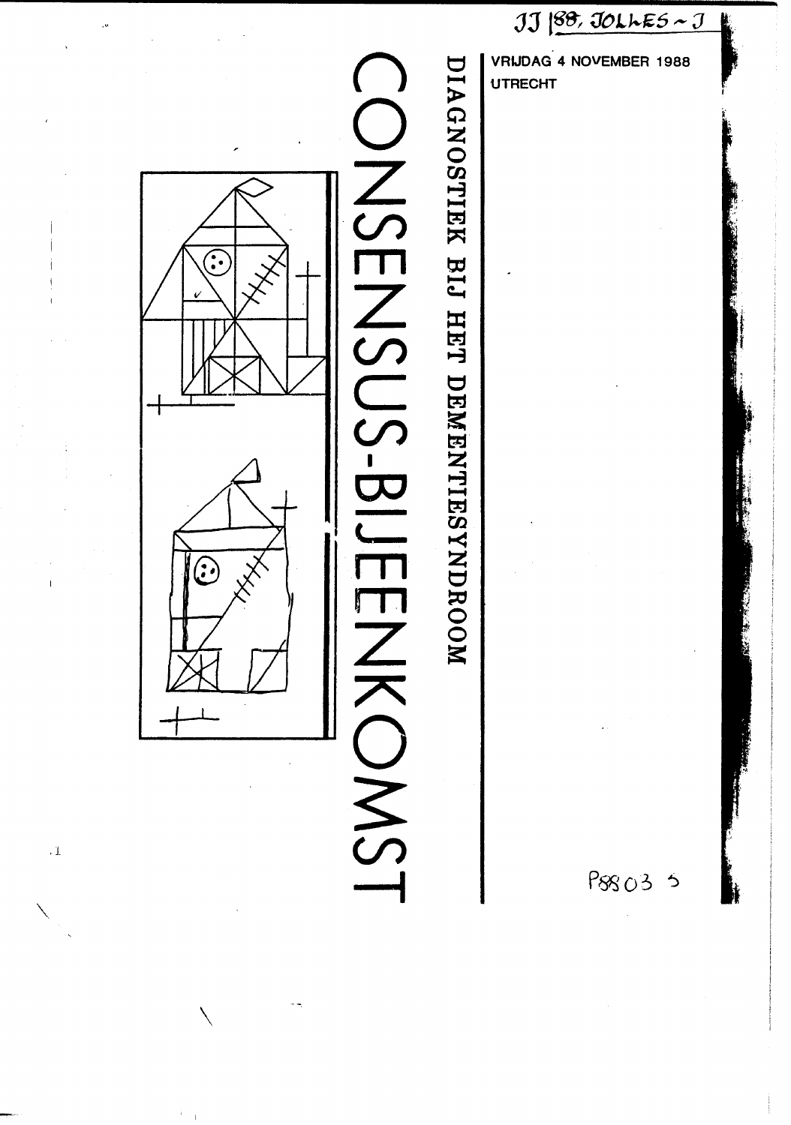

,  $\bar{1}$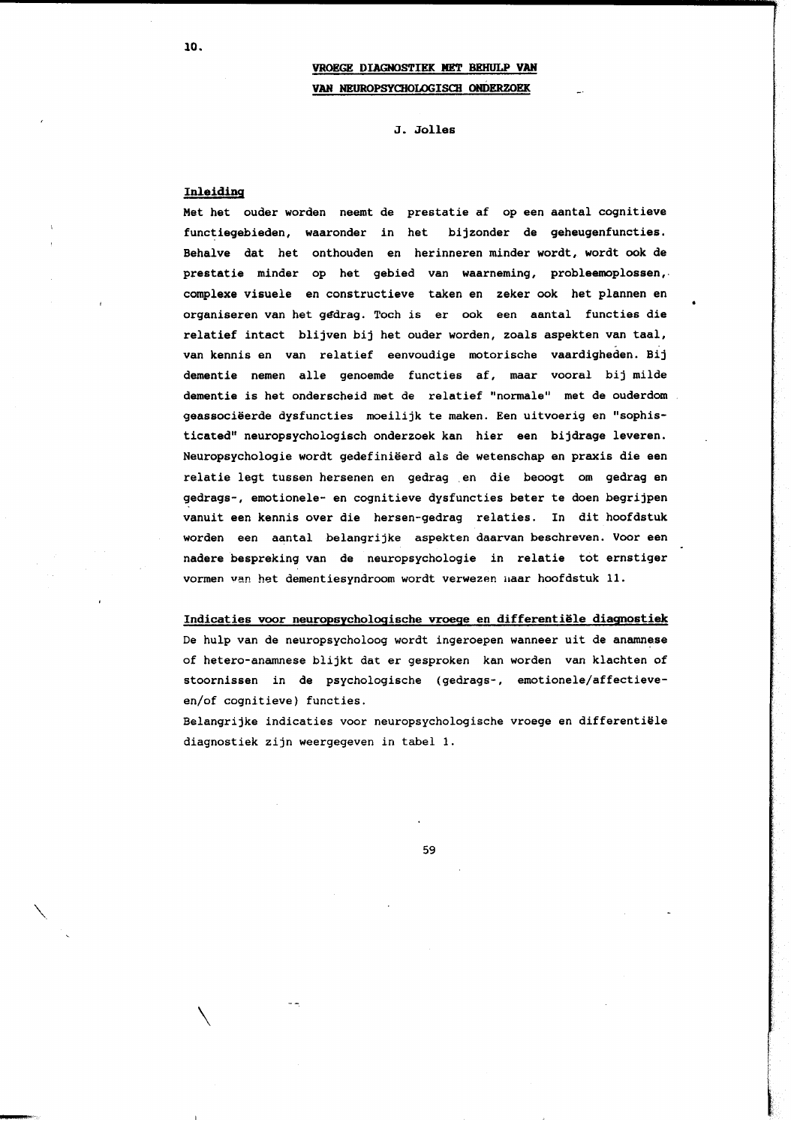J. Jolles

## Inleiding

Met het ouder worden neemt de prestatie af op een aantal cognitieve functiegebieden, waaronder in het bijzonder de geheugenfuncties. Behalve dat het onthouden en herinneren minder wordt, wordt ook de prestatie minder op het gebied van waarneming, probleemoplossen, complexe visuele en constructieve taken en zeker ook het plannen en organiseren van het gedrag. Toch is er ook een aantal functies die relatief intact blijven bij het ouder worden, zoals aspekten van taal, van kennis en van relatief eenvoudige motorische vaardigheden. Bij dementie nemen alle genoemde functies af, maar vooral bij milde dementie is het onderscheid met de relatief "normale" met de ouderdom geassociëerde dysfuncties moeilijk te maken. Een uitvoerig en "sophisticated" neuropsychologisch onderzoek kan hier een bijdrage leveren. Neuropsychologie wordt gedefiniëerd als de wetenschap en praxis die een relatie legt tussen hersenen en gedrag en die beoogt om gedrag en gedrags-, emotionele- en cognitieve dysfuncties beter te doen begrijpen vanuit een kennis over die hersen-gedrag relaties. In dit hoofdstuk worden een aantal belangrijke aspekten daarvan beschreven. Voor een nadere bespreking van de neuropsychologie in relatie tot ernstiger vormen van het dementiesyndroom wordt verwezen maar hoofdstuk 11.

## Indicaties voor neuropsychologische vroege en differentiële diagnostiek

De hulp van de neuropsycholoog wordt ingeroepen wanneer uit de anamnese of hetero-anamnese blijkt dat er gesproken kan worden van klachten of stoornissen in de psychologische (gedrags-, emotionele/affectieveen/of cognitieve) functies.

Belangrijke indicaties voor neuropsychologische vroege en differentiële diagnostiek zijn weergegeven in tabel 1.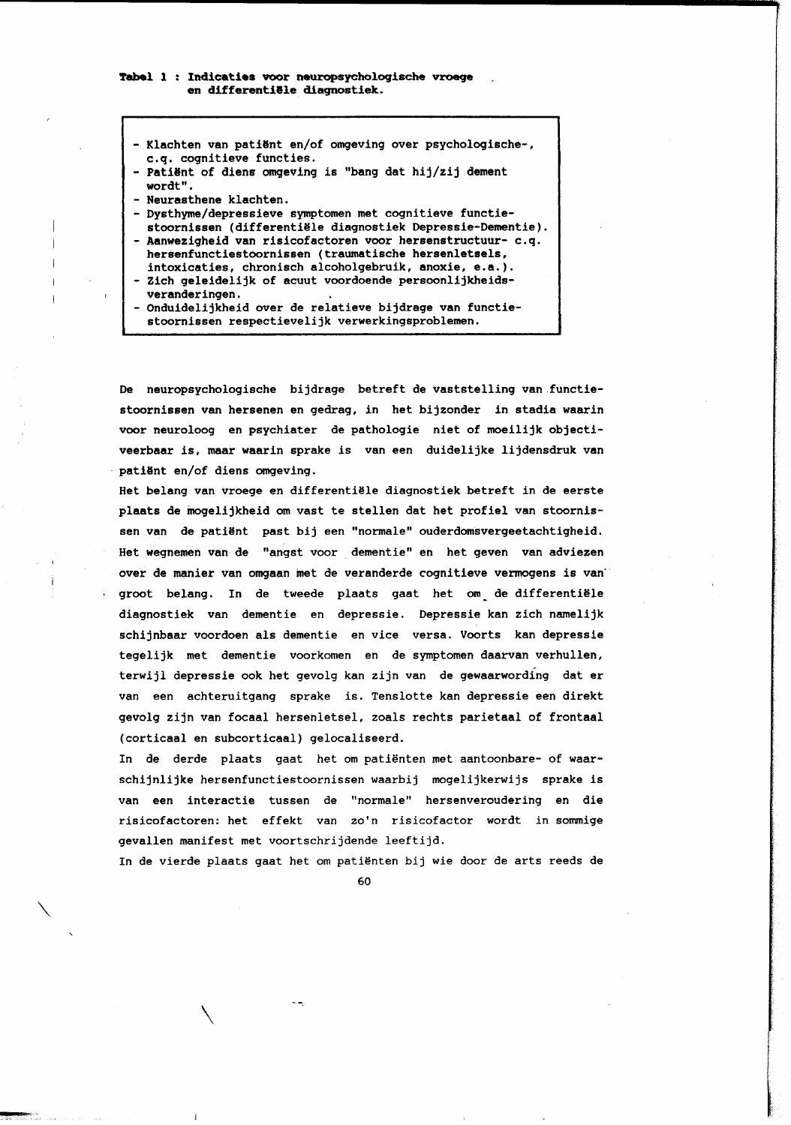- Klachten van patiënt en/of omgeving over psychologische-, c.q. cognitieve functies. Patiënt of diens omgeving is "bang dat hij/zij dement wordt". - Neurasthene klachten. - Dysthyme/depressieve symptomen met cognitieve functiestoornissen (differentiële diagnostiek Depressie-Dementie). - Aanwezigheid van risicofactoren voor hersenstructuur- c.q. hersenfunctiestoornissen (traumatische hersenletsels, intoxicaties, chronisch alcoholgebruik, anoxie, e.a.). - Zich geleidelijk of acuut voordoende persoonlijkheidsveranderingen. Onduidelijkheid over de relatieve bijdrage van functiestoornissen respectievelijk verwerkingsproblemen.

De neuropsychologische bijdrage betreft de vaststelling van functiestoornissen van hersenen en gedrag, in het bijzonder in stadia waarin voor neuroloog en psychiater de pathologie niet of moeilijk objectiveerbaar is, maar waarin sprake is van een duidelijke lijdensdruk van patiënt en/of diens omgeving.

Het belang van vroege en differentiële diagnostiek betreft in de eerste plaats de mogelijkheid om vast te stellen dat het profiel van stoornissen van de patiënt past bij een "normale" ouderdomsvergeetachtigheid. Het wegnemen van de "angst voor dementie" en het geven van adviezen over de manier van omgaan met de veranderde cognitieve vermogens is van groot belang. In de tweede plaats gaat het om de differentiële diagnostiek van dementie en depressie. Depressie kan zich namelijk schijnbaar voordoen als dementie en vice versa. Voorts kan depressie tegelijk met dementie voorkomen en de symptomen daarvan verhullen, terwijl depressie ook het gevolg kan zijn van de gewaarwording dat er van een achteruitgang sprake is. Tenslotte kan depressie een direkt gevolg zijn van focaal hersenletsel, zoals rechts parietaal of frontaal (corticaal en subcorticaal) gelocaliseerd.

In de derde plaats gaat het om patiënten met aantoonbare- of waarschijnlijke hersenfunctiestoornissen waarbij mogelijkerwijs sprake is van een interactie tussen de "normale" hersenveroudering en die risicofactoren: het effekt van zo'n risicofactor wordt in sommige gevallen manifest met voortschrijdende leeftijd.

In de vierde plaats gaat het om patiënten bij wie door de arts reeds de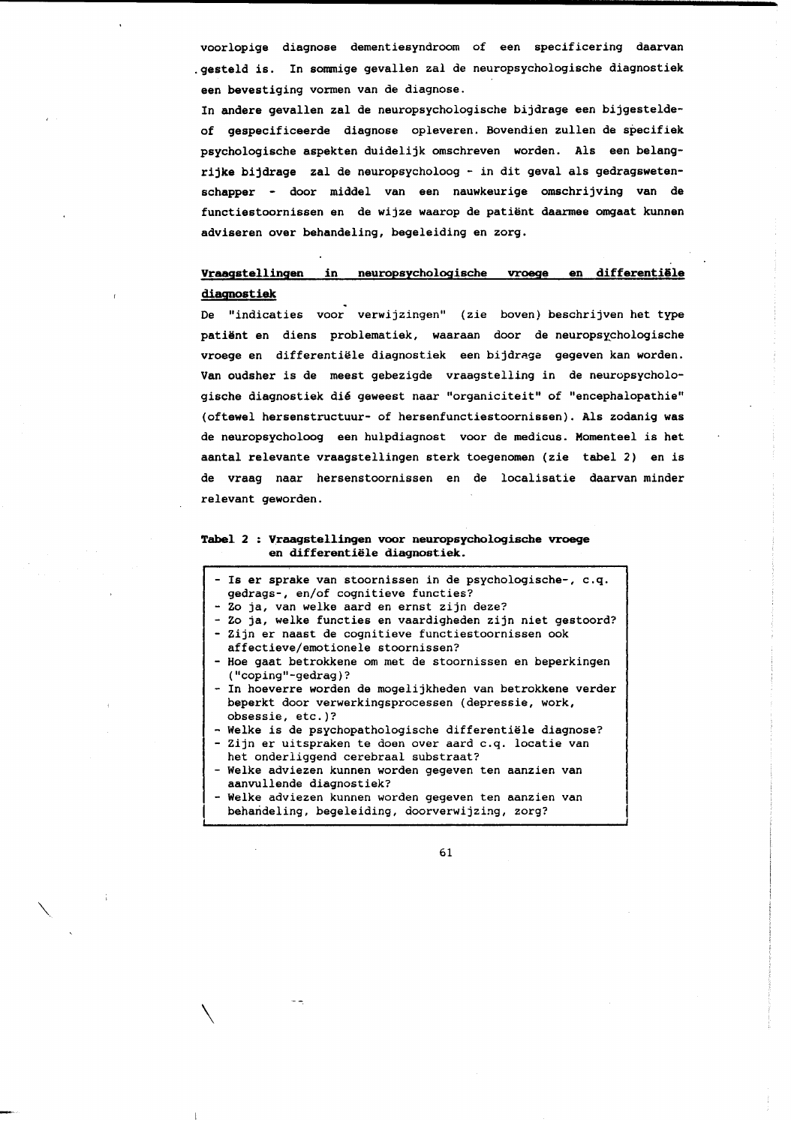voorlopige diagnose dementiesyndroom of een specificering daarvan .gesteld is. In sommige gevallen zal de neuropsychologische diagnostiek een bevestiging vormen van de diagnose.

In andere gevallen zal de neuropsychologische bijdrage een bijgesteldeof gespecificeerde diagnose opleveren. Bovendien zullen de specifiek psychologische aspekten duidelijk omschreven worden. Als een belangrijke bijdrage zal de neuropsycholoog - in dit geval als gedragswetenschapper - door middel van een nauwkeurige omschrijving van de functiestoornissen en de wijze waarop de patiënt daarmee omgaat kunnen adviseren over behandeling, begeleiding en zorg.

#### Vraagstellingen in neuropsychologische vroege en differentiële diagnostiek

De "indicaties voor verwijzingen" (zie boven) beschrijven het type patiënt en diens problematiek, waaraan door de neuropsychologische vroege en differentiële diagnostiek een bijdrage gegeven kan worden. Van oudsher is de meest gebezigde vraagstelling in de neuropsychologische diagnostiek dié geweest naar "organiciteit" of "encephalopathie" (oftewel hersenstructuur- of hersenfunctiestoornissen). Als zodanig was de neuropsycholoog een hulpdiagnost voor de medicus. Momenteel is het aantal relevante vraagstellingen sterk toegenomen (zie tabel 2) en is de vraag naar hersenstoornissen en de localisatie daarvan minder relevant geworden.

## Tabel 2 : Vraagstellingen voor neuropsychologische vroege en differentiële diagnostiek.

- Is er sprake van stoornissen in de psychologische-, c.q. gedrags-, en/of cognitieve functies?
- Zo ja, van welke aard en ernst zijn deze?
- Zo ja, welke functies en vaardigheden zijn niet gestoord? - Zijn er naast de cognitieve functiestoornissen ook
- affectieve/emotionele stoornissen?
- Hoe gaat betrokkene om met de stoornissen en beperkingen ("coping"-gedrag)?
- In hoeverre worden de mogelijkheden van betrokkene verder beperkt door verwerkingsprocessen (depressie, work, obsessie, etc.)?
- Welke is de psychopathologische differentiële diagnose?
- Zijn er uitspraken te doen over aard c.q. locatie van het onderliggend cerebraal substraat?
- Welke adviezen kunnen worden gegeven ten aanzien van aanvullende diagnostiek?
- Welke adviezen kunnen worden gegeven ten aanzien van behandeling, begeleiding, doorverwijzing, zorg?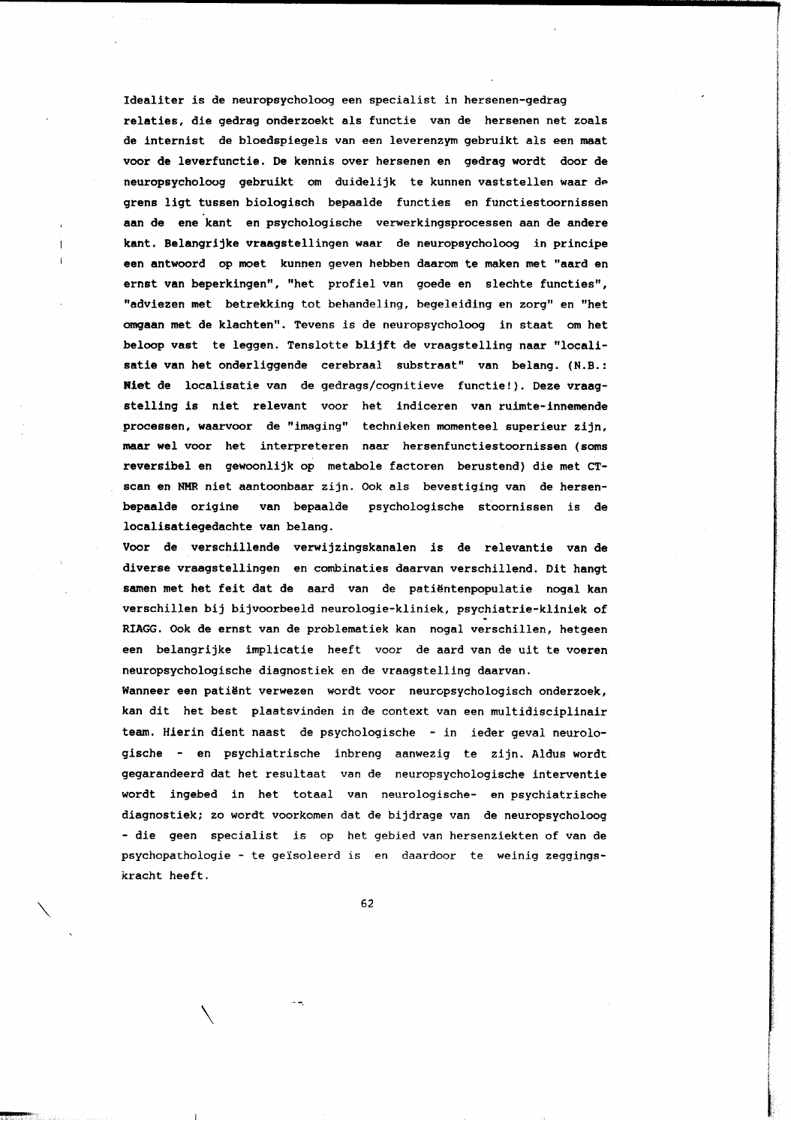Idealiter is de neuropsycholoog een specialist in hersenen-gedrag relaties, die gedrag onderzoekt als functie van de hersenen net zoals de internist de bloedspiegels van een leverenzym gebruikt als een maat voor de leverfunctie. De kennis over hersenen en gedrag wordt door de neuropsycholoog gebruikt om duidelijk te kunnen vaststellen waar de grens ligt tussen biologisch bepaalde functies en functiestoornissen aan de ene kant en psychologische verwerkingsprocessen aan de andere kant. Belangrijke vraagstellingen waar de neuropsycholoog in principe een antwoord op moet kunnen geven hebben daarom te maken met "aard en ernst van beperkingen", "het profiel van goede en slechte functies", "adviezen met betrekking tot behandeling, begeleiding en zorg" en "het omgaan met de klachten". Tevens is de neuropsycholoog in staat om het beloop vast te leggen. Tenslotte blijft de vraagstelling naar "localisatie van het onderliggende cerebraal substraat" van belang. (N.B.: Niet de localisatie van de gedrags/cognitieve functie!). Deze vraagstelling is niet relevant voor het indiceren van ruimte-innemende processen, waarvoor de "imaging" technieken momenteel superieur zijn, maar wel voor het interpreteren naar hersenfunctiestoornissen (soms reversibel en gewoonlijk op metabole factoren berustend) die met CTscan en NMR niet aantoonbaar zijn. Ook als bevestiging van de hersenbepaalde origine van bepaalde psychologische stoornissen is de localisatiegedachte van belang.

Voor de verschillende verwijzingskanalen is de relevantie van de diverse vraagstellingen en combinaties daarvan verschillend. Dit hangt samen met het feit dat de aard van de patiëntenpopulatie nogal kan verschillen bij bijvoorbeeld neurologie-kliniek, psychiatrie-kliniek of RIAGG. Ook de ernst van de problematiek kan nogal verschillen, hetgeen een belangrijke implicatie heeft voor de aard van de uit te voeren neuropsychologische diagnostiek en de vraagstelling daarvan.

Wanneer een patiënt verwezen wordt voor neuropsychologisch onderzoek, kan dit het best plaatsvinden in de context van een multidisciplinair team. Hierin dient naast de psychologische - in ieder geval neurologische - en psychiatrische inbreng aanwezig te zijn. Aldus wordt gegarandeerd dat het resultaat van de neuropsychologische interventie wordt ingebed in het totaal van neurologische- en psychiatrische diagnostiek; zo wordt voorkomen dat de bijdrage van de neuropsycholoog - die geen specialist is op het gebied van hersenziekten of van de psychopathologie - te geïsoleerd is en daardoor te weinig zeggingskracht heeft.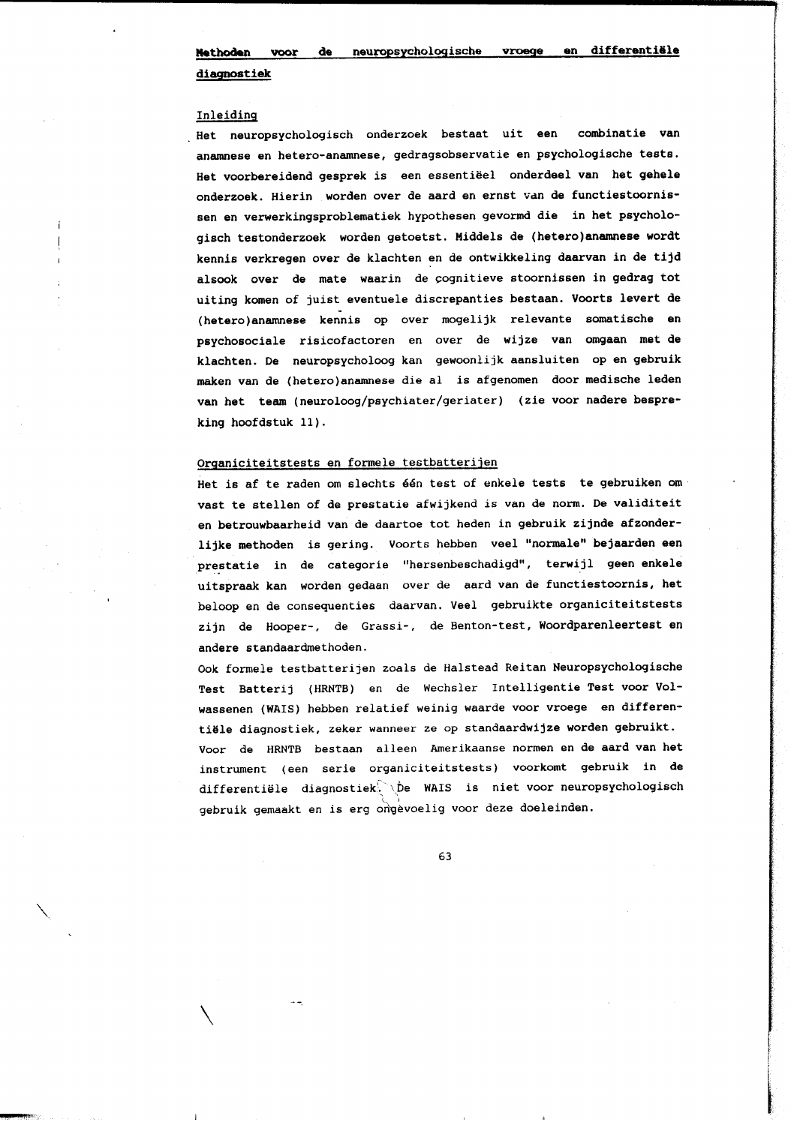diagnostiek

#### Inleiding

Het neuropsychologisch onderzoek bestaat uit een combinatie van anamnese en hetero-anamnese, gedragsobservatie en psychologische tests. Het voorbereidend gesprek is een essentiëel onderdeel van het gehele onderzoek. Hierin worden over de aard en ernst van de functiestoornissen en verwerkingsproblematiek hypothesen gevormd die in het psychologisch testonderzoek worden getoetst. Middels de (hetero)anamnese wordt kennis verkregen over de klachten en de ontwikkeling daarvan in de tijd alsook over de mate waarin de cognitieve stoornissen in gedrag tot uiting komen of juist eventuele discrepanties bestaan. Voorts levert de (hetero)anamnese kennis op over mogelijk relevante somatische en psychosociale risicofactoren en over de wijze van omgaan met de klachten. De neuropsycholoog kan gewoonlijk aansluiten op en gebruik maken van de (hetero)anamnese die al is afgenomen door medische leden van het team (neuroloog/psychiater/geriater) (zie voor nadere bespreking hoofdstuk 11).

## Organiciteitstests en formele testbatterijen

Het is af te raden om slechts één test of enkele tests te gebruiken om vast te stellen of de prestatie afwijkend is van de norm. De validiteit en betrouwbaarheid van de daartoe tot heden in gebruik zijnde afzonderlijke methoden is gering. Voorts hebben veel "normale" bejaarden een prestatie in de categorie "hersenbeschadigd", terwijl geen enkele uitspraak kan worden gedaan over de aard van de functiestoornis, het beloop en de consequenties daarvan. Veel gebruikte organiciteitstests zijn de Hooper-, de Grassi-, de Benton-test, Woordparenleertest en andere standaardmethoden.

Ook formele testbatterijen zoals de Halstead Reitan Neuropsychologische Test Batterij (HRNTB) en de Wechsler Intelligentie Test voor Volwassenen (WAIS) hebben relatief weinig waarde voor vroege en differentiële diagnostiek, zeker wanneer ze op standaardwijze worden gebruikt. Voor de HRNTB bestaan alleen Amerikaanse normen en de aard van het instrument (een serie organiciteitstests) voorkomt gebruik in de differentiële diagnostiek. De WAIS is niet voor neuropsychologisch gebruik gemaakt en is erg ongevoelig voor deze doeleinden.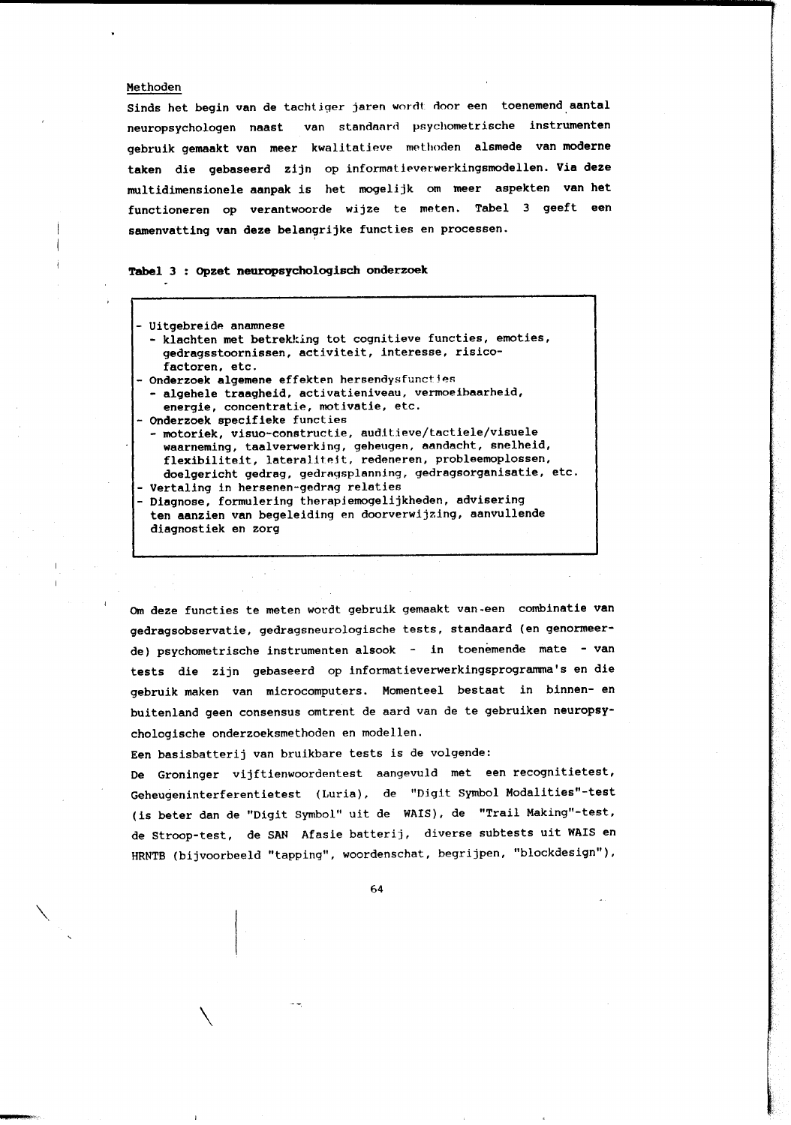## Methoden

Sinds het begin van de tachtiger jaren wordt door een toenemend aantal neuropsychologen naast van standaard psychometrische instrumenten gebruik gemaakt van meer kwalitatieve methoden alsmede van moderne taken die gebaseerd zijn op informatieverwerkingsmodellen. Via deze multidimensionele aanpak is het mogelijk om meer aspekten van het functioneren op verantwoorde wijze te meten. Tabel 3 geeft een samenvatting van deze belangrijke functies en processen.

# Tabel 3 : Opzet neuropsychologisch onderzoek

| - Uitgebreide anamnese                                        |
|---------------------------------------------------------------|
| - klachten met betrekking tot cognitieve functies, emoties,   |
| gedragsstoornissen, activiteit, interesse, risico-            |
| factoren, etc.                                                |
| - Onderzoek algemene effekten hersendysfuncties               |
|                                                               |
| - algehele traagheid, activatieniveau, vermoeibaarheid,       |
| energie, concentratie, motivatie, etc.                        |
| - Onderzoek specifieke functies                               |
| - motoriek, visuo-constructie, auditieve/tactiele/visuele     |
| waarneming, taalverwerking, geheugen, aandacht, snelheid,     |
| flexibiliteit, lateraliteit, redeneren, probleemoplossen,     |
|                                                               |
| doelgericht gedrag, gedragsplanning, gedragsorganisatie, etc. |
| - Vertaling in hersenen-gedrag relaties                       |
| Diagnose, formulering therapiemogelijkheden, advisering       |
| ten aanzien van begeleiding en doorverwijzing, aanvullende    |
|                                                               |
| diagnostiek en zorg                                           |
|                                                               |

Om deze functies te meten wordt gebruik gemaakt van een combinatie van gedragsobservatie, gedragsneurologische tests, standaard (en genormeerde) psychometrische instrumenten alsook - in toenemende mate - van tests die zijn gebaseerd op informatieverwerkingsprogramma's en die gebruik maken van microcomputers. Momenteel bestaat in binnen- en buitenland geen consensus omtrent de aard van de te gebruiken neuropsychologische onderzoeksmethoden en modellen.

Een basisbatterij van bruikbare tests is de volgende:

De Groninger vijftienwoordentest aangevuld met een recognitietest, Geheugeninterferentietest (Luria), de "Digit Symbol Modalities"-test (is beter dan de "Digit Symbol" uit de WAIS), de "Trail Making"-test, de Stroop-test, de SAN Afasie batterij, diverse subtests uit WAIS en HRNTB (bijvoorbeeld "tapping", woordenschat, begrijpen, "blockdesign"),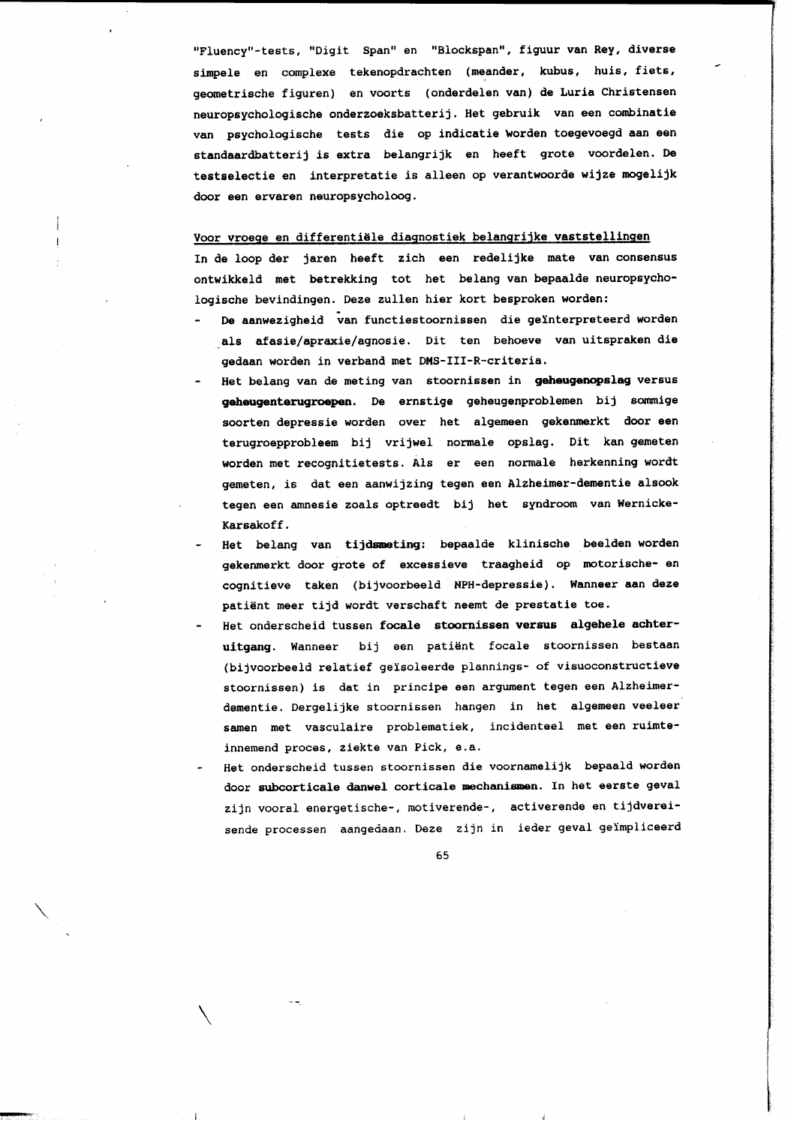"Fluency"-tests, "Digit Span" en "Blockspan", figuur van Rey, diverse simpele en complexe tekenopdrachten (meander, kubus, huis, fiets, geometrische figuren) en voorts (onderdelen van) de Luria Christensen neuropsychologische onderzoeksbatterij. Het gebruik van een combinatie van psychologische tests die op indicatie worden toegevoegd aan een standaardbatterij is extra belangrijk en heeft grote voordelen. De testselectie en interpretatie is alleen op verantwoorde wijze mogelijk door een ervaren neuropsycholoog.

#### Voor vroege en differentiële diagnostiek belangrijke vaststellingen

In de loop der jaren heeft zich een redelijke mate van consensus ontwikkeld met betrekking tot het belang van bepaalde neuropsychologische bevindingen. Deze zullen hier kort besproken worden:

- De aanwezigheid van functiestoornissen die geïnterpreteerd worden als afasie/apraxie/agnosie. Dit ten behoeve van uitspraken die gedaan worden in verband met DMS-III-R-criteria.
- Het belang van de meting van stoornissen in geheugenopslag versus geheugenterugroepen. De ernstige geheugenproblemen bij sommige soorten depressie worden over het algemeen gekenmerkt door een terugroepprobleem bij vrijwel normale opslag. Dit kan gemeten worden met recognitietests. Als er een normale herkenning wordt gemeten, is dat een aanwijzing tegen een Alzheimer-dementie alsook tegen een amnesie zoals optreedt bij het syndroom van Wernicke-Karsakoff.
- Het belang van tijdsmeting: bepaalde klinische beelden worden gekenmerkt door grote of excessieve traagheid op motorische- en cognitieve taken (bijvoorbeeld NPH-depressie). Wanneer aan deze patiënt meer tijd wordt verschaft neemt de prestatie toe.
- Het onderscheid tussen focale stoornissen versus algehele achteruitgang. Wanneer bij een patiënt focale stoornissen bestaan (bijvoorbeeld relatief geïsoleerde plannings- of visuoconstructieve stoornissen) is dat in principe een argument tegen een Alzheimerdementie. Dergelijke stoornissen hangen in het algemeen veeleer samen met vasculaire problematiek, incidenteel met een ruimteinnemend proces, ziekte van Pick, e.a.
- Het onderscheid tussen stoornissen die voornamelijk bepaald worden door subcorticale danwel corticale mechanismen. In het eerste geval zijn vooral energetische-, motiverende-, activerende en tijdvereisende processen aangedaan. Deze zijn in ieder geval geïmpliceerd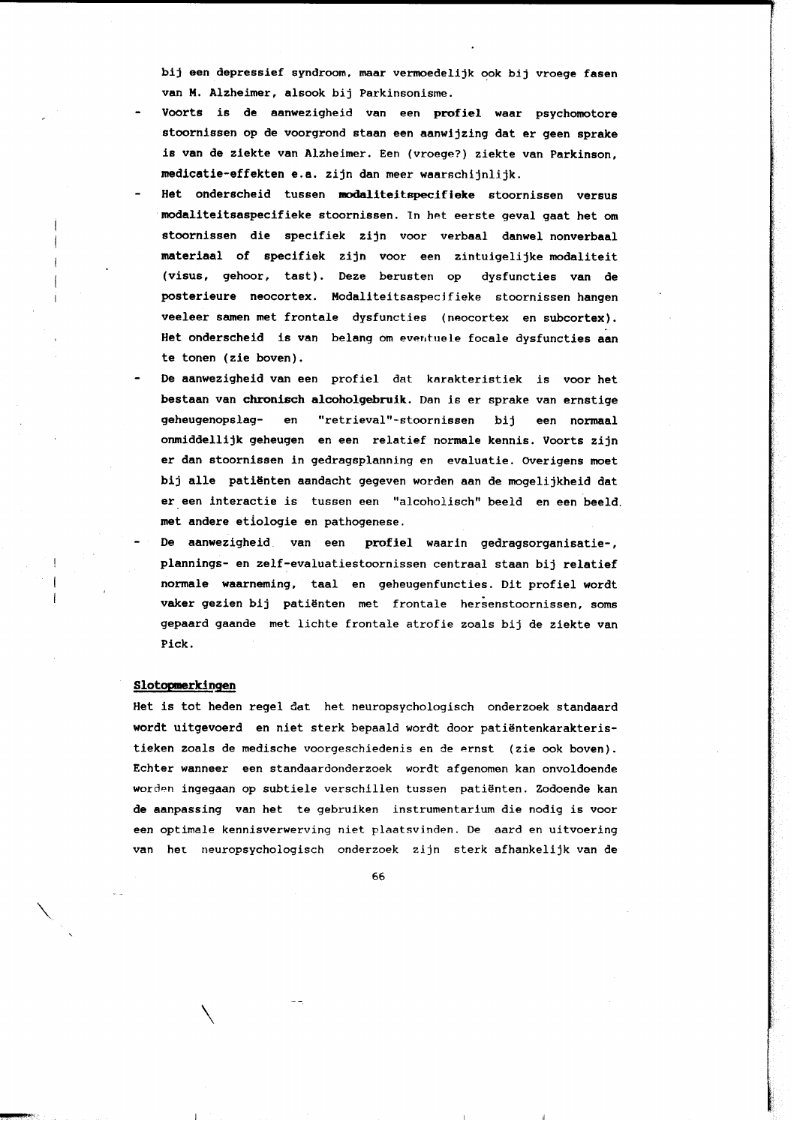bij een depressief syndroom, maar vermoedelijk ook bij vroege fasen van M. Alzheimer, alsook bij Parkinsonisme.

- Voorts is de aanwezigheid van een profiel waar psychomotore stoornissen op de voorgrond staan een aanwijzing dat er geen sprake is van de ziekte van Alzheimer. Een (vroege?) ziekte van Parkinson, medicatie-effekten e.a. zijn dan meer waarschijnlijk.
- Het onderscheid tussen modaliteitspecifieke stoornissen versus modaliteitsaspecifieke stoornissen. In het eerste geval gaat het om stoornissen die specifiek zijn voor verbaal danwel nonverbaal materiaal of specifiek zijn voor een zintuigelijke modaliteit (visus, gehoor, tast). Deze berusten op dysfuncties van de posterieure neocortex. Modaliteitsaspecifieke stoornissen hangen veeleer samen met frontale dysfuncties (neocortex en subcortex). Het onderscheid is van belang om eventuele focale dysfuncties aan te tonen (zie boven).
- De aanwezigheid van een profiel dat karakteristiek is voor het bestaan van chronisch alcoholgebruik. Dan is er sprake van ernstige geheugenopslagen "retrieval"-stoornissen bij een normaal onmiddellijk geheugen en een relatief normale kennis. Voorts zijn er dan stoornissen in gedragsplanning en evaluatie. Overigens moet bij alle patiënten aandacht gegeven worden aan de mogelijkheid dat er een interactie is tussen een "alcoholisch" beeld en een beeld. met andere etiologie en pathogenese.
- De aanwezigheid van een profiel waarin gedragsorganisatie-, plannings- en zelf-evaluatiestoornissen centraal staan bij relatief normale waarneming, taal en geheugenfuncties. Dit profiel wordt vaker gezien bij patiënten met frontale hersenstoornissen, soms gepaard gaande met lichte frontale atrofie zoals bij de ziekte van Pick.

#### Slotopmerkingen

Het is tot heden regel dat het neuropsychologisch onderzoek standaard wordt uitgevoerd en niet sterk bepaald wordt door patiëntenkarakteristieken zoals de medische voorgeschiedenis en de ernst (zie ook boven). Echter wanneer een standaardonderzoek wordt afgenomen kan onvoldoende worden ingegaan op subtiele verschillen tussen patiënten. Zodoende kan de aanpassing van het te gebruiken instrumentarium die nodig is voor een optimale kennisverwerving niet plaatsvinden. De aard en uitvoering van het neuropsychologisch onderzoek zijn sterk afhankelijk van de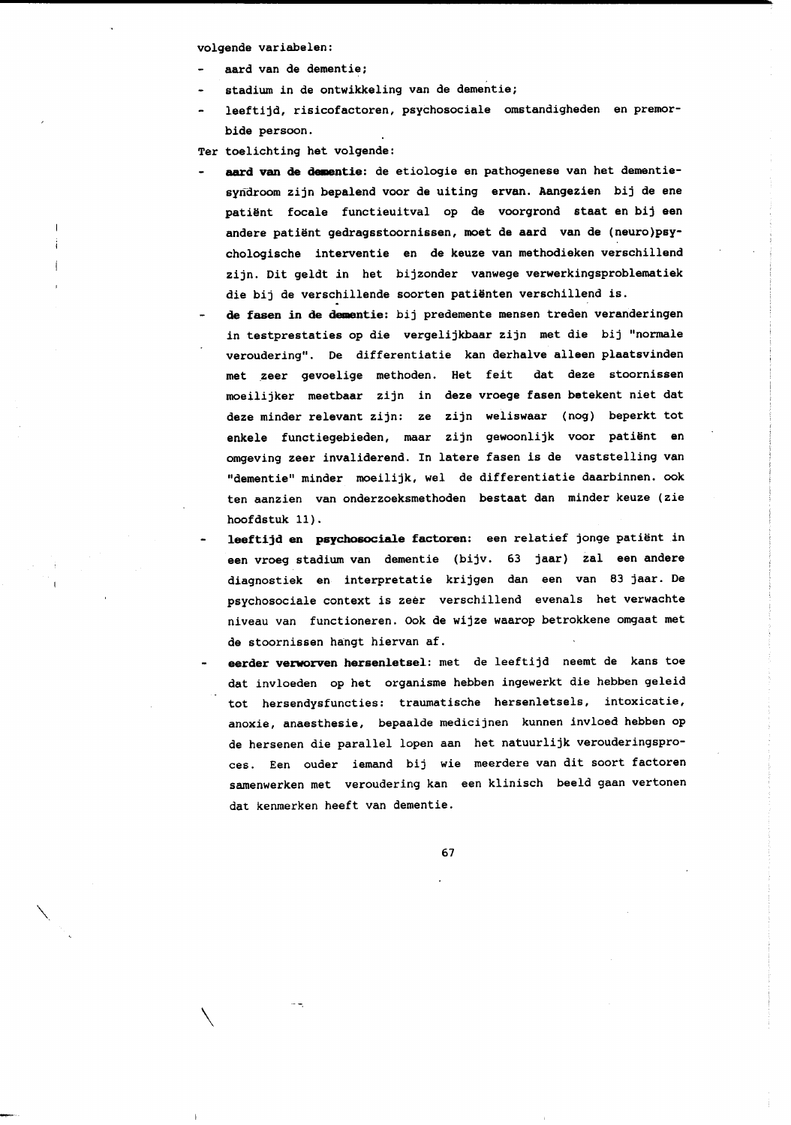volgende variabelen:

- aard van de dementie;
- stadium in de ontwikkeling van de dementie;
- leeftijd, risicofactoren, psychosociale omstandigheden en premorbide persoon.

Ter toelichting het volgende:

- aard van de dementie: de etiologie en pathogenese van het dementiesyndroom zijn bepalend voor de uiting ervan. Aangezien bij de ene patiënt focale functieuitval op de voorgrond staat en bij een andere patiënt gedragsstoornissen, moet de aard van de (neuro)psychologische interventie en de keuze van methodieken verschillend zijn. Dit geldt in het bijzonder vanwege verwerkingsproblematiek die bij de verschillende soorten patiënten verschillend is.
- de fasen in de dementie: bij predemente mensen treden veranderingen in testprestaties op die vergelijkbaar zijn met die bij "normale veroudering". De differentiatie kan derhalve alleen plaatsvinden met zeer gevoelige methoden. Het feit dat deze stoornissen moeilijker meetbaar zijn in deze vroege fasen betekent niet dat deze minder relevant zijn: ze zijn weliswaar (nog) beperkt tot enkele functiegebieden, maar zijn gewoonlijk voor patiënt en omgeving zeer invaliderend. In latere fasen is de vaststelling van "dementie" minder moeilijk, wel de differentiatie daarbinnen. ook ten aanzien van onderzoeksmethoden bestaat dan minder keuze (zie hoofdstuk 11).
- leeftijd en psychosociale factoren: een relatief jonge patiënt in een vroeg stadium van dementie (bijv. 63 jaar) zal een andere diagnostiek en interpretatie krijgen dan een van 83 jaar. De psychosociale context is zeer verschillend evenals het verwachte niveau van functioneren. Ook de wijze waarop betrokkene omgaat met de stoornissen hangt hiervan af.
- eerder verworven hersenletsel: met de leeftijd neemt de kans toe dat invloeden op het organisme hebben ingewerkt die hebben geleid tot hersendysfuncties: traumatische hersenletsels, intoxicatie, anoxie, anaesthesie, bepaalde medicijnen kunnen invloed hebben op de hersenen die parallel lopen aan het natuurlijk verouderingsproces. Een ouder iemand bij wie meerdere van dit soort factoren samenwerken met veroudering kan een klinisch beeld gaan vertonen dat kenmerken heeft van dementie.